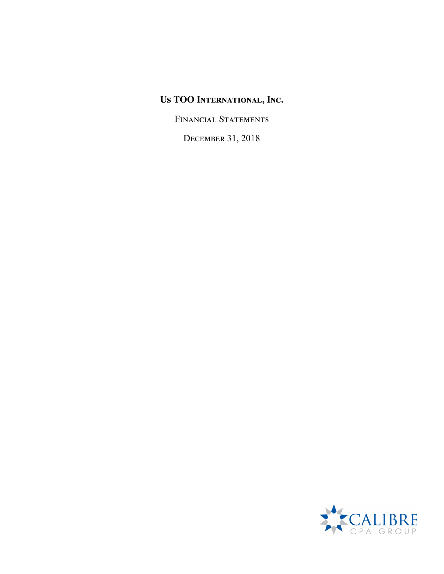FINANCIAL STATEMENTS

December 31, 2018

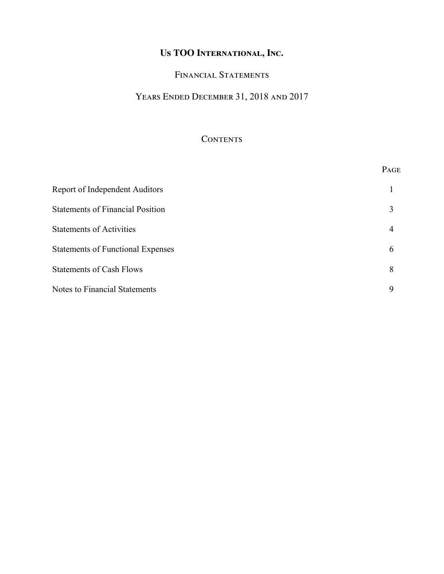### FINANCIAL STATEMENTS

# Years Ended December 31, 2018 and 2017

### **CONTENTS**

|                                          | PAGE |
|------------------------------------------|------|
| Report of Independent Auditors           |      |
| <b>Statements of Financial Position</b>  | 3    |
| <b>Statements of Activities</b>          | 4    |
| <b>Statements of Functional Expenses</b> | 6    |
| <b>Statements of Cash Flows</b>          | 8    |
| Notes to Financial Statements            | 9    |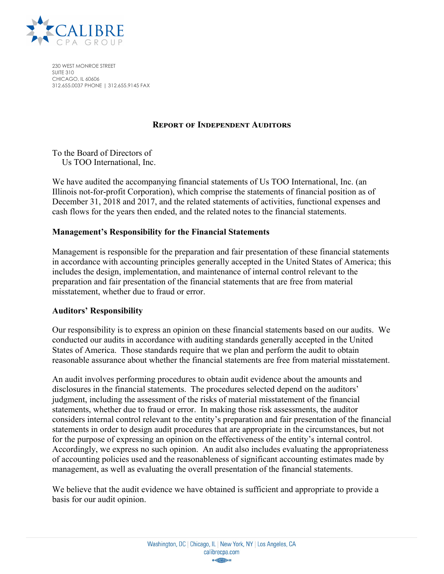

230 WEST MONROE STREET SUITE 310 CHICAGO, IL 60606 312.655.0037 PHONE | 312.655.9145 FAX

### **Report of Independent Auditors**

To the Board of Directors of Us TOO International, Inc.

We have audited the accompanying financial statements of Us TOO International, Inc. (an Illinois not-for-profit Corporation), which comprise the statements of financial position as of December 31, 2018 and 2017, and the related statements of activities, functional expenses and cash flows for the years then ended, and the related notes to the financial statements.

### **Management's Responsibility for the Financial Statements**

Management is responsible for the preparation and fair presentation of these financial statements in accordance with accounting principles generally accepted in the United States of America; this includes the design, implementation, and maintenance of internal control relevant to the preparation and fair presentation of the financial statements that are free from material misstatement, whether due to fraud or error.

#### **Auditors' Responsibility**

Our responsibility is to express an opinion on these financial statements based on our audits. We conducted our audits in accordance with auditing standards generally accepted in the United States of America. Those standards require that we plan and perform the audit to obtain reasonable assurance about whether the financial statements are free from material misstatement.

An audit involves performing procedures to obtain audit evidence about the amounts and disclosures in the financial statements. The procedures selected depend on the auditors' judgment, including the assessment of the risks of material misstatement of the financial statements, whether due to fraud or error. In making those risk assessments, the auditor considers internal control relevant to the entity's preparation and fair presentation of the financial statements in order to design audit procedures that are appropriate in the circumstances, but not for the purpose of expressing an opinion on the effectiveness of the entity's internal control. Accordingly, we express no such opinion. An audit also includes evaluating the appropriateness of accounting policies used and the reasonableness of significant accounting estimates made by management, as well as evaluating the overall presentation of the financial statements.

We believe that the audit evidence we have obtained is sufficient and appropriate to provide a basis for our audit opinion.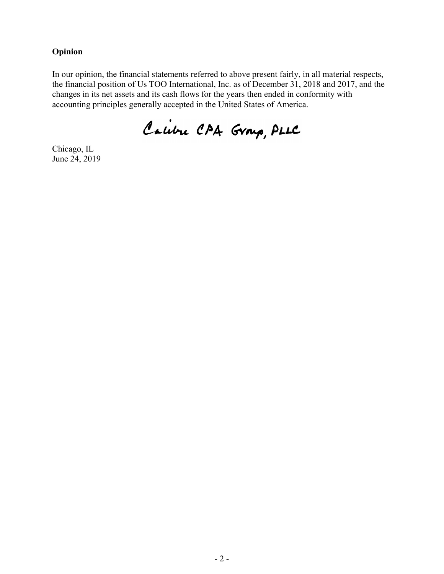### **Opinion**

In our opinion, the financial statements referred to above present fairly, in all material respects, the financial position of Us TOO International, Inc. as of December 31, 2018 and 2017, and the changes in its net assets and its cash flows for the years then ended in conformity with accounting principles generally accepted in the United States of America.

Calibre CAA Group, PLLC

Chicago, IL June 24, 2019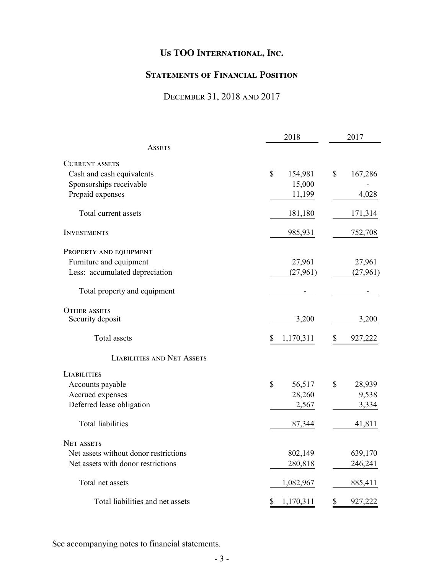## **Statements of Financial Position**

## December 31, 2018 and 2017

|                                       | 2018                   | 2017          |
|---------------------------------------|------------------------|---------------|
| ASSETS                                |                        |               |
| <b>CURRENT ASSETS</b>                 |                        |               |
| Cash and cash equivalents             | \$<br>154,981          | \$<br>167,286 |
| Sponsorships receivable               | 15,000                 |               |
| Prepaid expenses                      | 11,199                 | 4,028         |
| Total current assets                  | 181,180                | 171,314       |
| <b>INVESTMENTS</b>                    | 985,931                | 752,708       |
| PROPERTY AND EQUIPMENT                |                        |               |
| Furniture and equipment               | 27,961                 | 27,961        |
| Less: accumulated depreciation        | (27,961)               | (27, 961)     |
| Total property and equipment          |                        |               |
| <b>OTHER ASSETS</b>                   |                        |               |
| Security deposit                      | 3,200                  | 3,200         |
| Total assets                          | \$<br>1,170,311        | \$<br>927,222 |
| <b>LIABILITIES AND NET ASSETS</b>     |                        |               |
| <b>LIABILITIES</b>                    |                        |               |
| Accounts payable                      | $\mathbb{S}$<br>56,517 | \$<br>28,939  |
| Accrued expenses                      | 28,260                 | 9,538         |
| Deferred lease obligation             | 2,567                  | 3,334         |
| <b>Total liabilities</b>              | 87,344                 | 41,811        |
| NET ASSETS                            |                        |               |
| Net assets without donor restrictions | 802,149                | 639,170       |
| Net assets with donor restrictions    | 280,818                | 246,241       |
| Total net assets                      | 1,082,967              | 885,411       |
| Total liabilities and net assets      | 1,170,311<br>\$        | \$<br>927,222 |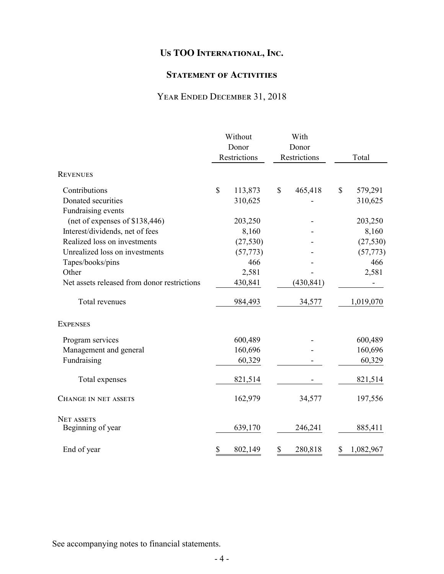### **STATEMENT OF ACTIVITIES**

## Year Ended December 31, 2018

|                                             | Without |                       |    | With                  |       |           |
|---------------------------------------------|---------|-----------------------|----|-----------------------|-------|-----------|
|                                             |         | Donor<br>Restrictions |    | Donor<br>Restrictions | Total |           |
| <b>REVENUES</b>                             |         |                       |    |                       |       |           |
| Contributions                               | \$      | 113,873               | \$ | 465,418               | \$    | 579,291   |
| Donated securities                          |         | 310,625               |    |                       |       | 310,625   |
| Fundraising events                          |         |                       |    |                       |       |           |
| (net of expenses of \$138,446)              |         | 203,250               |    |                       |       | 203,250   |
| Interest/dividends, net of fees             |         | 8,160                 |    |                       |       | 8,160     |
| Realized loss on investments                |         | (27, 530)             |    |                       |       | (27, 530) |
| Unrealized loss on investments              |         | (57, 773)             |    |                       |       | (57, 773) |
| Tapes/books/pins                            |         | 466                   |    |                       |       | 466       |
| Other                                       |         | 2,581                 |    |                       |       | 2,581     |
| Net assets released from donor restrictions |         | 430,841               |    | (430, 841)            |       |           |
| Total revenues                              |         | 984,493               |    | 34,577                |       | 1,019,070 |
| <b>EXPENSES</b>                             |         |                       |    |                       |       |           |
| Program services                            |         | 600,489               |    |                       |       | 600,489   |
| Management and general                      |         | 160,696               |    |                       |       | 160,696   |
| Fundraising                                 |         | 60,329                |    |                       |       | 60,329    |
| Total expenses                              |         | 821,514               |    |                       |       | 821,514   |
| <b>CHANGE IN NET ASSETS</b>                 |         | 162,979               |    | 34,577                |       | 197,556   |
| <b>NET ASSETS</b>                           |         |                       |    |                       |       |           |
| Beginning of year                           |         | 639,170               |    | 246,241               |       | 885,411   |
| End of year                                 | \$      | 802,149               | \$ | 280,818               | \$    | 1,082,967 |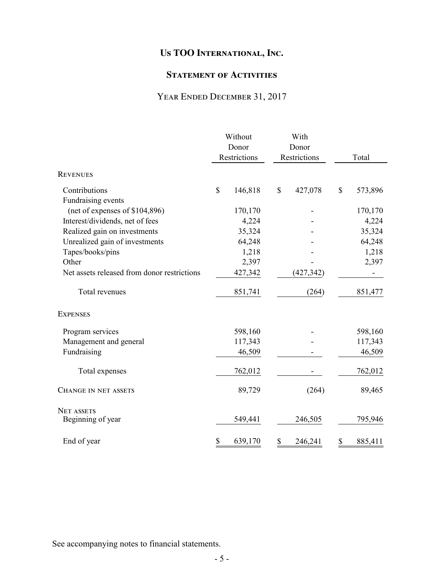### **STATEMENT OF ACTIVITIES**

## YEAR ENDED DECEMBER 31, 2017

|                                             | Without |              | With |              |    |         |
|---------------------------------------------|---------|--------------|------|--------------|----|---------|
|                                             | Donor   |              |      | Donor        |    |         |
|                                             |         | Restrictions |      | Restrictions |    | Total   |
| <b>REVENUES</b>                             |         |              |      |              |    |         |
| Contributions                               | \$      | 146,818      | \$   | 427,078      | \$ | 573,896 |
| Fundraising events                          |         |              |      |              |    |         |
| (net of expenses of \$104,896)              |         | 170,170      |      |              |    | 170,170 |
| Interest/dividends, net of fees             |         | 4,224        |      |              |    | 4,224   |
| Realized gain on investments                |         | 35,324       |      |              |    | 35,324  |
| Unrealized gain of investments              |         | 64,248       |      |              |    | 64,248  |
| Tapes/books/pins                            |         | 1,218        |      |              |    | 1,218   |
| Other                                       |         | 2,397        |      |              |    | 2,397   |
| Net assets released from donor restrictions |         | 427,342      |      | (427, 342)   |    |         |
| Total revenues                              |         | 851,741      |      | (264)        |    | 851,477 |
| <b>EXPENSES</b>                             |         |              |      |              |    |         |
| Program services                            |         | 598,160      |      |              |    | 598,160 |
| Management and general                      |         | 117,343      |      |              |    | 117,343 |
| Fundraising                                 |         | 46,509       |      |              |    | 46,509  |
| Total expenses                              |         | 762,012      |      |              |    | 762,012 |
| <b>CHANGE IN NET ASSETS</b>                 |         | 89,729       |      | (264)        |    | 89,465  |
| <b>NET ASSETS</b>                           |         |              |      |              |    |         |
| Beginning of year                           |         | 549,441      |      | 246,505      |    | 795,946 |
| End of year                                 | \$      | 639,170      | \$   | 246,241      | \$ | 885,411 |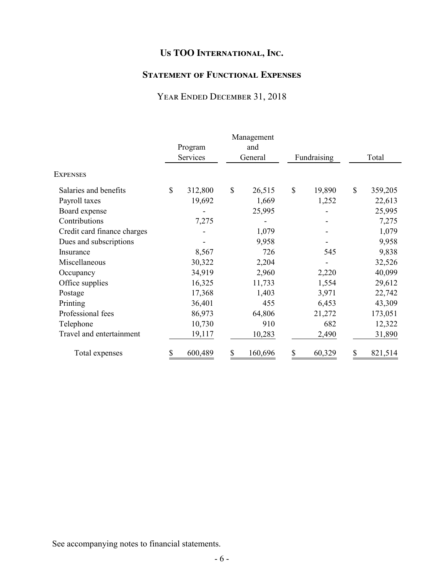## **Statement of Functional Expenses**

## Year Ended December 31, 2018

|                             |              | Program<br>Services | Management<br>and<br>General | Fundraising  |              | Total   |
|-----------------------------|--------------|---------------------|------------------------------|--------------|--------------|---------|
| <b>EXPENSES</b>             |              |                     |                              |              |              |         |
| Salaries and benefits       | $\mathbb{S}$ | 312,800             | \$<br>26,515                 | \$<br>19,890 | $\mathbb{S}$ | 359,205 |
| Payroll taxes               |              | 19,692              | 1,669                        | 1,252        |              | 22,613  |
| Board expense               |              |                     | 25,995                       |              |              | 25,995  |
| Contributions               |              | 7,275               |                              |              |              | 7,275   |
| Credit card finance charges |              |                     | 1,079                        |              |              | 1,079   |
| Dues and subscriptions      |              |                     | 9,958                        |              |              | 9,958   |
| Insurance                   |              | 8,567               | 726                          | 545          |              | 9,838   |
| Miscellaneous               |              | 30,322              | 2,204                        |              |              | 32,526  |
| Occupancy                   |              | 34,919              | 2,960                        | 2,220        |              | 40,099  |
| Office supplies             |              | 16,325              | 11,733                       | 1,554        |              | 29,612  |
| Postage                     |              | 17,368              | 1,403                        | 3,971        |              | 22,742  |
| Printing                    |              | 36,401              | 455                          | 6,453        |              | 43,309  |
| Professional fees           |              | 86,973              | 64,806                       | 21,272       |              | 173,051 |
| Telephone                   |              | 10,730              | 910                          | 682          |              | 12,322  |
| Travel and entertainment    |              | 19,117              | 10,283                       | 2,490        |              | 31,890  |
| Total expenses              | \$           | 600,489             | \$<br>160,696                | \$<br>60,329 |              | 821,514 |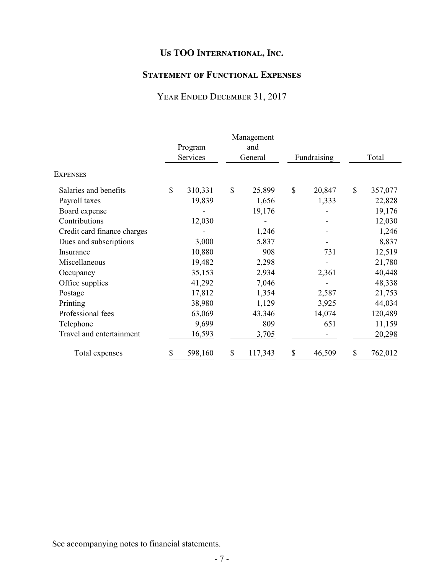### **Statement of Functional Expenses**

## YEAR ENDED DECEMBER 31, 2017

|                             |              |          | Management    |              |              |         |
|-----------------------------|--------------|----------|---------------|--------------|--------------|---------|
|                             |              | Program  | and           |              |              |         |
|                             |              | Services | General       | Fundraising  |              | Total   |
| <b>EXPENSES</b>             |              |          |               |              |              |         |
| Salaries and benefits       | $\mathbb{S}$ | 310,331  | \$<br>25,899  | \$<br>20,847 | $\mathbb{S}$ | 357,077 |
| Payroll taxes               |              | 19,839   | 1,656         | 1,333        |              | 22,828  |
| Board expense               |              |          | 19,176        |              |              | 19,176  |
| Contributions               |              | 12,030   |               |              |              | 12,030  |
| Credit card finance charges |              |          | 1,246         |              |              | 1,246   |
| Dues and subscriptions      |              | 3,000    | 5,837         |              |              | 8,837   |
| Insurance                   |              | 10,880   | 908           | 731          |              | 12,519  |
| Miscellaneous               |              | 19,482   | 2,298         |              |              | 21,780  |
| Occupancy                   |              | 35,153   | 2,934         | 2,361        |              | 40,448  |
| Office supplies             |              | 41,292   | 7,046         |              |              | 48,338  |
| Postage                     |              | 17,812   | 1,354         | 2,587        |              | 21,753  |
| Printing                    |              | 38,980   | 1,129         | 3,925        |              | 44,034  |
| Professional fees           |              | 63,069   | 43,346        | 14,074       |              | 120,489 |
| Telephone                   |              | 9,699    | 809           | 651          |              | 11,159  |
| Travel and entertainment    |              | 16,593   | 3,705         |              |              | 20,298  |
| Total expenses              | \$           | 598,160  | \$<br>117,343 | \$<br>46,509 |              | 762,012 |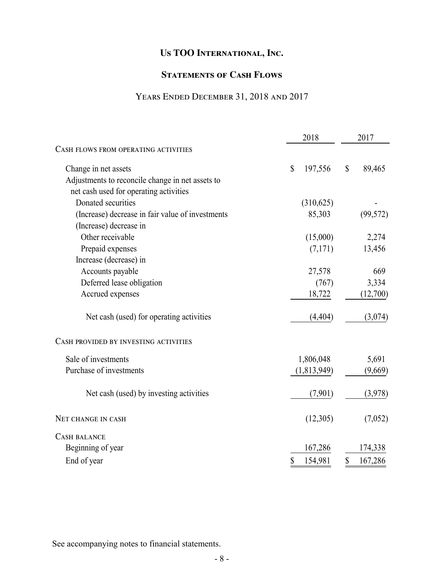### **STATEMENTS OF CASH FLOWS**

## Years Ended December 31, 2018 and 2017

|                                                  | 2018                                 | 2017                                |
|--------------------------------------------------|--------------------------------------|-------------------------------------|
| CASH FLOWS FROM OPERATING ACTIVITIES             |                                      |                                     |
| Change in net assets                             | $\boldsymbol{\mathsf{S}}$<br>197,556 | $\boldsymbol{\mathsf{S}}$<br>89,465 |
| Adjustments to reconcile change in net assets to |                                      |                                     |
| net cash used for operating activities           |                                      |                                     |
| Donated securities                               | (310, 625)                           |                                     |
| (Increase) decrease in fair value of investments | 85,303                               | (99, 572)                           |
| (Increase) decrease in                           |                                      |                                     |
| Other receivable                                 | (15,000)                             | 2,274                               |
| Prepaid expenses                                 | (7,171)                              | 13,456                              |
| Increase (decrease) in                           |                                      |                                     |
| Accounts payable                                 | 27,578                               | 669                                 |
| Deferred lease obligation                        | (767)                                | 3,334                               |
| Accrued expenses                                 | 18,722                               | (12,700)                            |
| Net cash (used) for operating activities         | (4, 404)                             | (3,074)                             |
| CASH PROVIDED BY INVESTING ACTIVITIES            |                                      |                                     |
| Sale of investments                              | 1,806,048                            | 5,691                               |
| Purchase of investments                          | (1,813,949)                          | (9,669)                             |
| Net cash (used) by investing activities          | (7,901)                              | (3,978)                             |
| NET CHANGE IN CASH                               | (12,305)                             | (7,052)                             |
| <b>CASH BALANCE</b>                              |                                      |                                     |
| Beginning of year                                | 167,286                              | 174,338                             |
| End of year                                      | \$<br>154,981                        | \$<br>167,286                       |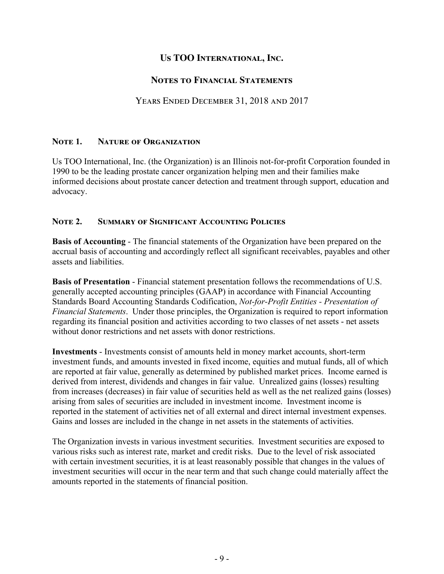### **Notes to Financial Statements**

### Years Ended December 31, 2018 and 2017

### **Note 1. Nature of Organization**

Us TOO International, Inc. (the Organization) is an Illinois not-for-profit Corporation founded in 1990 to be the leading prostate cancer organization helping men and their families make informed decisions about prostate cancer detection and treatment through support, education and advocacy.

### **Note 2. Summary of Significant Accounting Policies**

**Basis of Accounting** - The financial statements of the Organization have been prepared on the accrual basis of accounting and accordingly reflect all significant receivables, payables and other assets and liabilities.

**Basis of Presentation** - Financial statement presentation follows the recommendations of U.S. generally accepted accounting principles (GAAP) in accordance with Financial Accounting Standards Board Accounting Standards Codification, *Not-for-Profit Entities - Presentation of Financial Statements*. Under those principles, the Organization is required to report information regarding its financial position and activities according to two classes of net assets - net assets without donor restrictions and net assets with donor restrictions.

**Investments** - Investments consist of amounts held in money market accounts, short-term investment funds, and amounts invested in fixed income, equities and mutual funds, all of which are reported at fair value, generally as determined by published market prices. Income earned is derived from interest, dividends and changes in fair value. Unrealized gains (losses) resulting from increases (decreases) in fair value of securities held as well as the net realized gains (losses) arising from sales of securities are included in investment income. Investment income is reported in the statement of activities net of all external and direct internal investment expenses. Gains and losses are included in the change in net assets in the statements of activities.

The Organization invests in various investment securities. Investment securities are exposed to various risks such as interest rate, market and credit risks. Due to the level of risk associated with certain investment securities, it is at least reasonably possible that changes in the values of investment securities will occur in the near term and that such change could materially affect the amounts reported in the statements of financial position.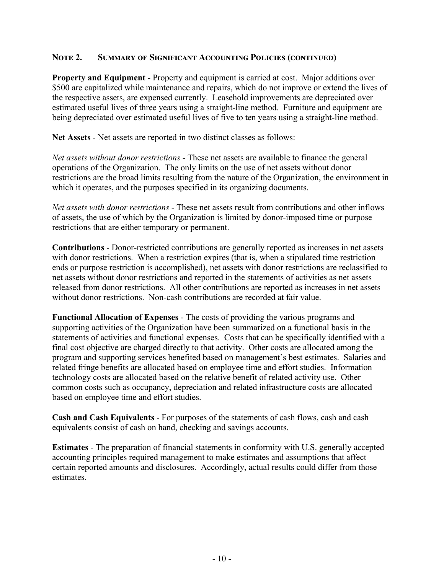### **Note 2. Summary of Significant Accounting Policies (continued)**

**Property and Equipment** - Property and equipment is carried at cost. Major additions over \$500 are capitalized while maintenance and repairs, which do not improve or extend the lives of the respective assets, are expensed currently. Leasehold improvements are depreciated over estimated useful lives of three years using a straight-line method. Furniture and equipment are being depreciated over estimated useful lives of five to ten years using a straight-line method.

**Net Assets** - Net assets are reported in two distinct classes as follows:

*Net assets without donor restrictions* - These net assets are available to finance the general operations of the Organization. The only limits on the use of net assets without donor restrictions are the broad limits resulting from the nature of the Organization, the environment in which it operates, and the purposes specified in its organizing documents.

*Net assets with donor restrictions* - These net assets result from contributions and other inflows of assets, the use of which by the Organization is limited by donor-imposed time or purpose restrictions that are either temporary or permanent.

**Contributions** - Donor-restricted contributions are generally reported as increases in net assets with donor restrictions. When a restriction expires (that is, when a stipulated time restriction ends or purpose restriction is accomplished), net assets with donor restrictions are reclassified to net assets without donor restrictions and reported in the statements of activities as net assets released from donor restrictions.All other contributions are reported as increases in net assets without donor restrictions. Non-cash contributions are recorded at fair value.

**Functional Allocation of Expenses** - The costs of providing the various programs and supporting activities of the Organization have been summarized on a functional basis in the statements of activities and functional expenses. Costs that can be specifically identified with a final cost objective are charged directly to that activity. Other costs are allocated among the program and supporting services benefited based on management's best estimates. Salaries and related fringe benefits are allocated based on employee time and effort studies. Information technology costs are allocated based on the relative benefit of related activity use. Other common costs such as occupancy, depreciation and related infrastructure costs are allocated based on employee time and effort studies.

**Cash and Cash Equivalents** - For purposes of the statements of cash flows, cash and cash equivalents consist of cash on hand, checking and savings accounts.

**Estimates** - The preparation of financial statements in conformity with U.S. generally accepted accounting principles required management to make estimates and assumptions that affect certain reported amounts and disclosures. Accordingly, actual results could differ from those estimates.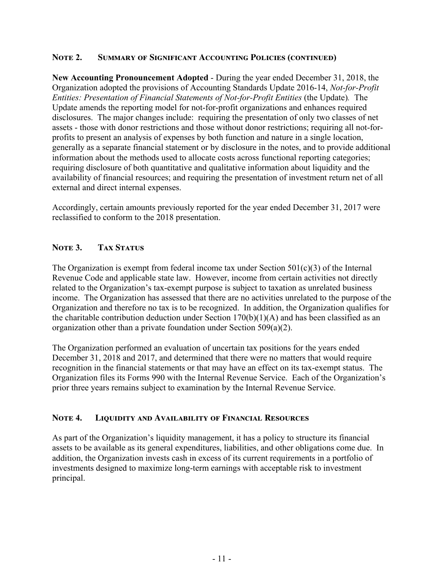### **Note 2. Summary of Significant Accounting Policies (continued)**

**New Accounting Pronouncement Adopted** - During the year ended December 31, 2018, the Organization adopted the provisions of Accounting Standards Update 2016-14, *Not-for-Profit Entities: Presentation of Financial Statements of Not-for-Profit Entities* (the Update)*.* The Update amends the reporting model for not-for-profit organizations and enhances required disclosures. The major changes include: requiring the presentation of only two classes of net assets - those with donor restrictions and those without donor restrictions; requiring all not-forprofits to present an analysis of expenses by both function and nature in a single location, generally as a separate financial statement or by disclosure in the notes, and to provide additional information about the methods used to allocate costs across functional reporting categories; requiring disclosure of both quantitative and qualitative information about liquidity and the availability of financial resources; and requiring the presentation of investment return net of all external and direct internal expenses.

Accordingly, certain amounts previously reported for the year ended December 31, 2017 were reclassified to conform to the 2018 presentation.

### NOTE 3. TAX STATUS

The Organization is exempt from federal income tax under Section  $501(c)(3)$  of the Internal Revenue Code and applicable state law. However, income from certain activities not directly related to the Organization's tax-exempt purpose is subject to taxation as unrelated business income. The Organization has assessed that there are no activities unrelated to the purpose of the Organization and therefore no tax is to be recognized. In addition, the Organization qualifies for the charitable contribution deduction under Section  $170(b)(1)(A)$  and has been classified as an organization other than a private foundation under Section 509(a)(2).

The Organization performed an evaluation of uncertain tax positions for the years ended December 31, 2018 and 2017, and determined that there were no matters that would require recognition in the financial statements or that may have an effect on its tax-exempt status. The Organization files its Forms 990 with the Internal Revenue Service. Each of the Organization's prior three years remains subject to examination by the Internal Revenue Service.

### **Note 4. Liquidity and Availability of Financial Resources**

As part of the Organization's liquidity management, it has a policy to structure its financial assets to be available as its general expenditures, liabilities, and other obligations come due. In addition, the Organization invests cash in excess of its current requirements in a portfolio of investments designed to maximize long-term earnings with acceptable risk to investment principal.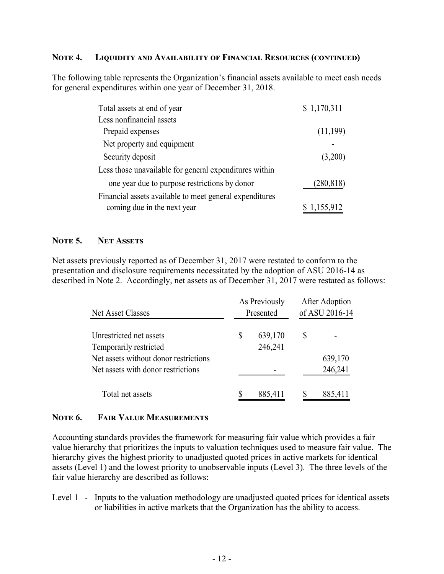#### **Note 4. Liquidity and Availability of Financial Resources (continued)**

The following table represents the Organization's financial assets available to meet cash needs for general expenditures within one year of December 31, 2018.

| Total assets at end of year                             | \$1,170,311 |
|---------------------------------------------------------|-------------|
| Less nonfinancial assets                                |             |
| Prepaid expenses                                        | (11,199)    |
| Net property and equipment                              |             |
| Security deposit                                        | (3,200)     |
| Less those unavailable for general expenditures within  |             |
| one year due to purpose restrictions by donor           | (280, 818)  |
| Financial assets available to meet general expenditures |             |
| coming due in the next year                             | \$1,155,912 |

#### **Note 5. Net Assets**

Net assets previously reported as of December 31, 2017 were restated to conform to the presentation and disclosure requirements necessitated by the adoption of ASU 2016-14 as described in Note 2. Accordingly, net assets as of December 31, 2017 were restated as follows:

| Net Asset Classes                     | As Previously<br>Presented | After Adoption<br>of ASU 2016-14 |         |  |
|---------------------------------------|----------------------------|----------------------------------|---------|--|
| Unrestricted net assets               | \$<br>639,170              | \$                               |         |  |
| Temporarily restricted                | 246,241                    |                                  |         |  |
| Net assets without donor restrictions |                            |                                  | 639,170 |  |
| Net assets with donor restrictions    |                            |                                  | 246,241 |  |
| Total net assets                      | 885,411                    |                                  | 885,411 |  |

### **Note 6. Fair Value Measurements**

Accounting standards provides the framework for measuring fair value which provides a fair value hierarchy that prioritizes the inputs to valuation techniques used to measure fair value. The hierarchy gives the highest priority to unadjusted quoted prices in active markets for identical assets (Level 1) and the lowest priority to unobservable inputs (Level 3). The three levels of the fair value hierarchy are described as follows:

Level 1 - Inputs to the valuation methodology are unadjusted quoted prices for identical assets or liabilities in active markets that the Organization has the ability to access.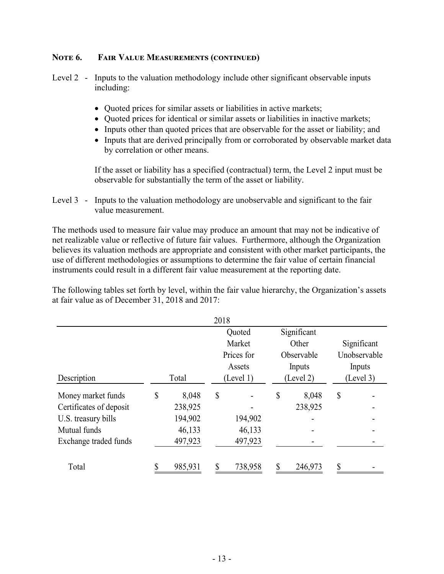### **Note 6. Fair Value Measurements (continued)**

Level 2 - Inputs to the valuation methodology include other significant observable inputs including:

- Quoted prices for similar assets or liabilities in active markets;
- Quoted prices for identical or similar assets or liabilities in inactive markets;
- Inputs other than quoted prices that are observable for the asset or liability; and
- Inputs that are derived principally from or corroborated by observable market data by correlation or other means.

If the asset or liability has a specified (contractual) term, the Level 2 input must be observable for substantially the term of the asset or liability.

Level 3 - Inputs to the valuation methodology are unobservable and significant to the fair value measurement.

The methods used to measure fair value may produce an amount that may not be indicative of net realizable value or reflective of future fair values. Furthermore, although the Organization believes its valuation methods are appropriate and consistent with other market participants, the use of different methodologies or assumptions to determine the fair value of certain financial instruments could result in a different fair value measurement at the reporting date.

The following tables set forth by level, within the fair value hierarchy, the Organization's assets at fair value as of December 31, 2018 and 2017:

|                         |    |         | 2018 |            |    |             |              |
|-------------------------|----|---------|------|------------|----|-------------|--------------|
|                         |    |         |      | Quoted     |    | Significant |              |
|                         |    |         |      | Market     |    | Other       | Significant  |
|                         |    |         |      | Prices for |    | Observable  | Unobservable |
|                         |    |         |      | Assets     |    | Inputs      | Inputs       |
| Description             |    | Total   |      | (Level 1)  |    | (Level 2)   | (Level 3)    |
| Money market funds      | \$ | 8,048   | \$   |            | \$ | 8,048       | \$           |
| Certificates of deposit |    | 238,925 |      |            |    | 238,925     |              |
| U.S. treasury bills     |    | 194,902 |      | 194,902    |    |             |              |
| Mutual funds            |    | 46,133  |      | 46,133     |    |             |              |
| Exchange traded funds   |    | 497,923 |      | 497,923    |    |             |              |
| Total                   | ¢  | 985,931 | ¢    | 738,958    |    | 246,973     | \$           |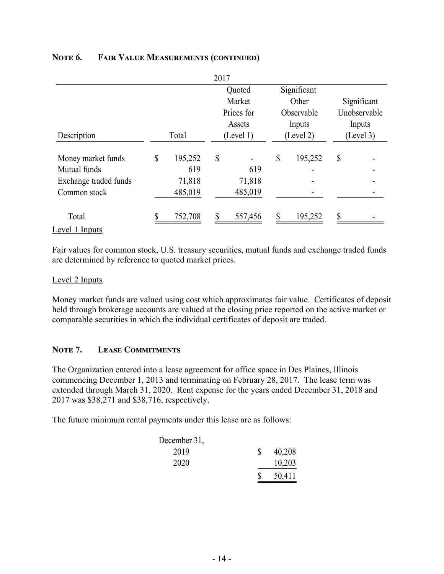|                       |               | 2017 |            |    |             |                           |              |
|-----------------------|---------------|------|------------|----|-------------|---------------------------|--------------|
|                       |               |      | Quoted     |    | Significant |                           |              |
|                       |               |      | Market     |    | Other       |                           | Significant  |
|                       |               |      | Prices for |    | Observable  |                           | Unobservable |
|                       |               |      | Assets     |    | Inputs      |                           | Inputs       |
| Description           | Total         |      | (Level 1)  |    | (Level 2)   |                           | (Level 3)    |
| Money market funds    | \$<br>195,252 | \$   |            | \$ | 195,252     | $\boldsymbol{\mathsf{S}}$ |              |
| Mutual funds          | 619           |      | 619        |    |             |                           |              |
| Exchange traded funds | 71,818        |      | 71,818     |    |             |                           |              |
| Common stock          | 485,019       |      | 485,019    |    |             |                           |              |
| Total                 | 752,708       | \$   | 557,456    | \$ | 195,252     | \$                        |              |
| Level 1 Inputs        |               |      |            |    |             |                           |              |

### **Note 6. Fair Value Measurements (continued)**

Fair values for common stock, U.S. treasury securities, mutual funds and exchange traded funds are determined by reference to quoted market prices.

#### Level 2 Inputs

Money market funds are valued using cost which approximates fair value. Certificates of deposit held through brokerage accounts are valued at the closing price reported on the active market or comparable securities in which the individual certificates of deposit are traded.

#### **Note 7. Lease Commitments**

The Organization entered into a lease agreement for office space in Des Plaines, Illinois commencing December 1, 2013 and terminating on February 28, 2017. The lease term was extended through March 31, 2020. Rent expense for the years ended December 31, 2018 and 2017 was \$38,271 and \$38,716, respectively.

The future minimum rental payments under this lease are as follows:

| December 31, |        |
|--------------|--------|
| 2019         | 40,208 |
| 2020         | 10,203 |
|              | 50,411 |